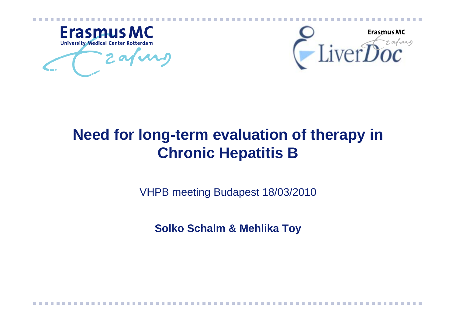



# **Need for long-term evaluation of therapy in Chronic Hepatitis B**

VHPB meeting Budapest 18/03/2010

**Solko Schalm & Mehlika Toy**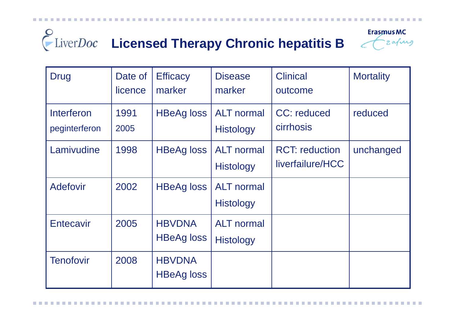#### Eliver*Doc* Licensed Therapy Chronic hepatitis B **Erasmus MC** Frafing

| <b>Drug</b>                 | Date of<br>licence | <b>Efficacy</b><br>marker          | <b>Disease</b><br>marker              | <b>Clinical</b><br>outcome                | <b>Mortality</b> |
|-----------------------------|--------------------|------------------------------------|---------------------------------------|-------------------------------------------|------------------|
| Interferon<br>peginterferon | 1991<br>2005       | <b>HBeAg loss</b>                  | <b>ALT</b> normal<br><b>Histology</b> | CC: reduced<br><b>cirrhosis</b>           | reduced          |
| Lamivudine                  | 1998               | <b>HBeAg loss</b>                  | <b>ALT</b> normal<br><b>Histology</b> | <b>RCT: reduction</b><br>liverfailure/HCC | unchanged        |
| <b>Adefovir</b>             | 2002               | <b>HBeAg loss</b>                  | <b>ALT</b> normal<br><b>Histology</b> |                                           |                  |
| <b>Entecavir</b>            | 2005               | <b>HBVDNA</b><br><b>HBeAg loss</b> | <b>ALT</b> normal<br><b>Histology</b> |                                           |                  |
| <b>Tenofovir</b>            | 2008               | <b>HBVDNA</b><br><b>HBeAg loss</b> |                                       |                                           |                  |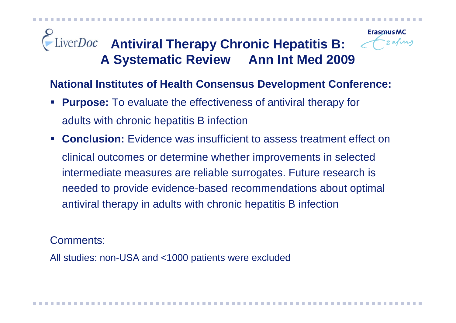# **LiverDoc Antiviral Therapy Chronic Hepatitis B: A Systematic Review Ann Int Med 2009**



**National Institutes of Health Consensus Development Conference:**

- $\mathcal{L}(\mathcal{L})$  **Purpose:** To evaluate the effectiveness of antiviral therapy for adults with chronic hepatitis B infection
- $\mathcal{L}_{\mathcal{A}}$  **Conclusion:** Evidence was insufficient to assess treatment effect on clinical outcomes or determine whether improvements in selected intermediate measures are reliable surrogates. Future research is needed to provide evidence-based recommendations about optimal antiviral therapy in adults with chronic hepatitis B infection

Comments:

All studies: non-USA and <1000 patients were excluded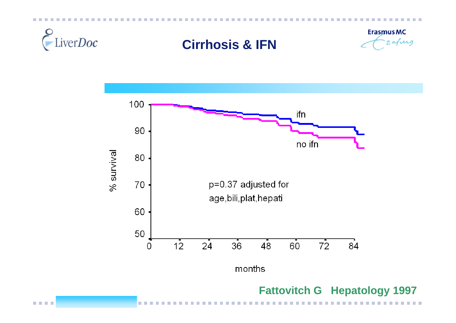

### **Cirrhosis & IFN**





#### **Fattovitch G Hepatology 1997**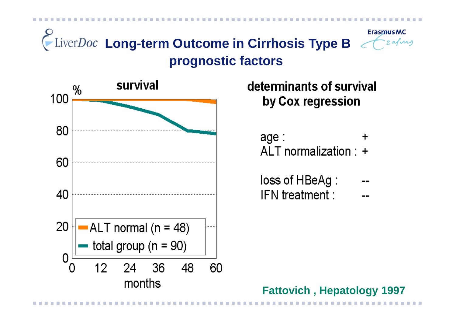



determinants of survival by Cox regression

age: ALT normalization : +

| loss of HBeAg : |  |
|-----------------|--|
| IFN treatment : |  |

**Fattovich , Hepatology 1997**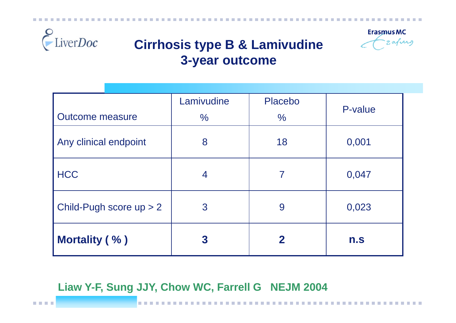



## **Cirrhosis type B & Lamivudine 3-year outcome**

|                           | Lamivudine     | Placebo       | P-value |
|---------------------------|----------------|---------------|---------|
| <b>Outcome measure</b>    | $\%$           | $\frac{6}{6}$ |         |
| Any clinical endpoint     | 8              | 18            | 0,001   |
| <b>HCC</b>                | $\overline{4}$ | 7             | 0,047   |
| Child-Pugh score $up > 2$ | 3              | 9             | 0,023   |
| <b>Mortality (%)</b>      | 3              | $\mathbf 2$   | n.s     |

#### **Liaw Y-F, Sung JJY, Chow WC, Farrell G NEJM 2004**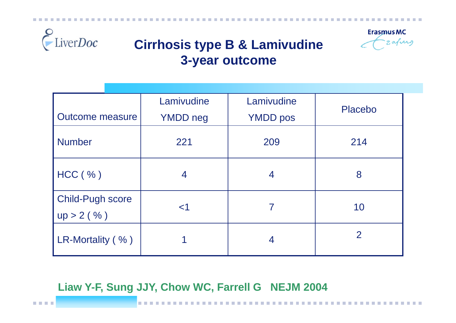



## **Cirrhosis type B & Lamivudine 3-year outcome**

|                                         | Lamivudine      | Lamivudine      | <b>Placebo</b> |
|-----------------------------------------|-----------------|-----------------|----------------|
| <b>Outcome measure</b>                  | <b>YMDD</b> neg | <b>YMDD</b> pos |                |
| <b>Number</b>                           | 221             | 209             | 214            |
| HCC ( %)                                | 4               | 4               | 8              |
| <b>Child-Pugh score</b><br>$up > 2$ (%) | $<$ 1           |                 | 10             |
| LR-Mortality (%)                        |                 | 4               | $\overline{2}$ |

#### **Liaw Y-F, Sung JJY, Chow WC, Farrell G NEJM 2004**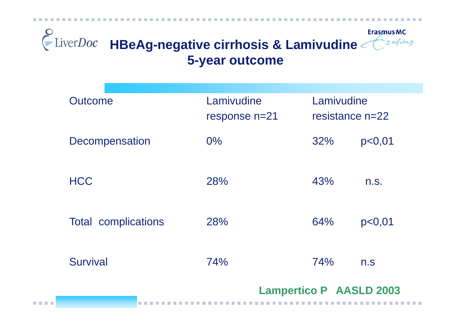

| Outcome                    | Lamivudine<br>response n=21 | Lamivudine<br>resistance $n=22$ |        |
|----------------------------|-----------------------------|---------------------------------|--------|
| Decompensation             | $0\%$                       | 32%                             | p<0,01 |
| <b>HCC</b>                 | 28%                         | 43%                             | n.S.   |
| <b>Total complications</b> | 28%                         | 64%                             | p<0,01 |
| <b>Survival</b>            | 74%                         | 74%                             | n.S    |
|                            |                             | <b>Lampertico P AASLD 2003</b>  |        |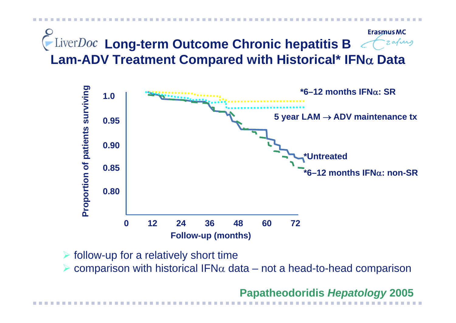**Erasmus MC LiverDoc** Long-term Outcome Chronic hepatitis B **Lam-ADV Treatment Compared with Historical\* IFN** α **Data**



 $\triangleright$  follow-up for a relatively short time

¾ $\triangleright$  comparison with historical IFN $\alpha$  data – not a head-to-head comparison

**Papatheodoridis** *Hepatology* **2005**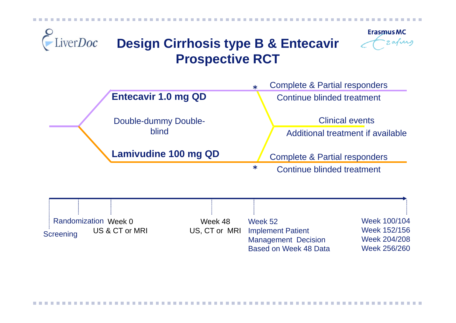



# **Design Cirrhosis type B & Entecavir Prospective RCT**



Randomization Week 0 US & CT or MRI**Screening** 

Week 48US, CT or MRI Week 52Implement Patient Management Decision Based on Week 48 Data

Week 100/104Week 152/156Week 204/208Week 256/260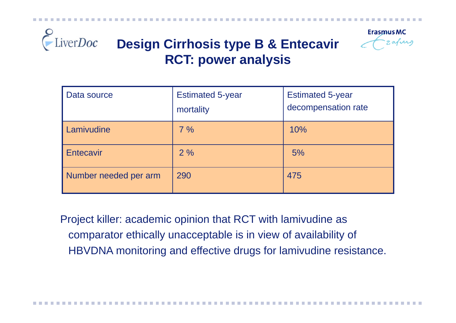



# **Design Cirrhosis type B & Entecavir RCT: power analysis**

| Data source           | <b>Estimated 5-year</b><br>mortality | <b>Estimated 5-year</b><br>decompensation rate |
|-----------------------|--------------------------------------|------------------------------------------------|
| Lamivudine            | 7%                                   | 10%                                            |
| Entecavir             | 2%                                   | 5%                                             |
| Number needed per arm | 290                                  | 475                                            |

Project killer: academic opinion that RCT with lamivudine as comparator ethically unacceptable is in view of availability of HBVDNA monitoring and effective drugs for lamivudine resistance.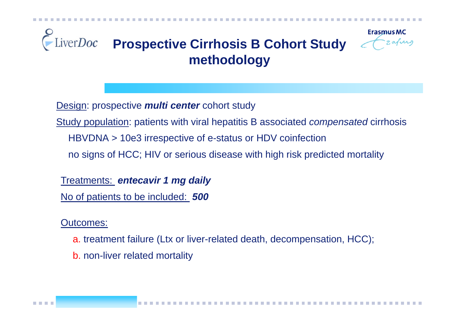

Design: prospective *multi center* cohort study

Study population: patients with viral hepatitis B associated *compensated* cirrhosis

HBVDNA > 10e3 irrespective of e-status or HDV coinfection

no signs of HCC; HIV or serious disease with high risk predicted mortality

Treatments: *entecavir 1 mg daily* No of patients to be included: *500*

Outcomes:

a. treatment failure (Ltx or liver-related death, decompensation, HCC);

b. non-liver related mortality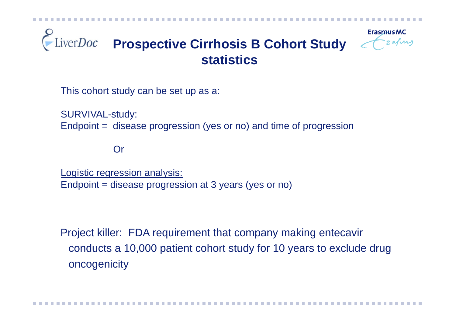

This cohort study can be set up as a:

SURVIVAL-study: Endpoint = disease progression (yes or no) and time of progression

Or

Logistic regression analysis: Endpoint = disease progression at 3 years (yes or no)

Project killer: FDA requirement that company making entecavir conducts a 10,000 patient cohort study for 10 years to exclude drug oncogenicity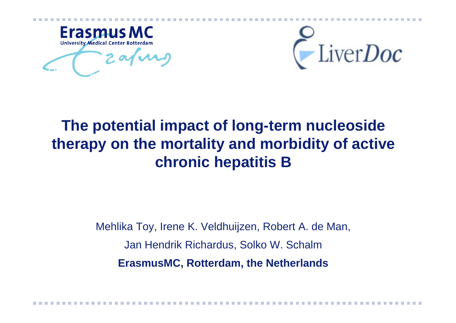

LiverDoc

# **The potential impact of long-term nucleoside therapy on the mortality and morbidity of active chronic hepatitis B**

Mehlika Toy, Irene K. Veldhuijzen, Robert A. de Man, Jan Hendrik Richardus, Solko W. Schalm **ErasmusMC, Rotterdam, the Netherlands**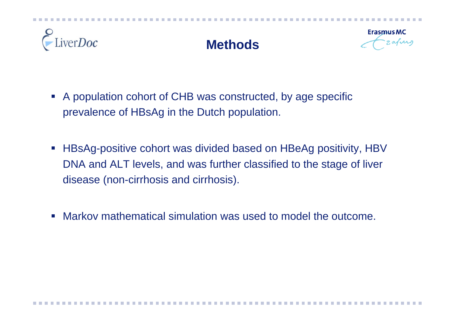

### **Methods**



- $\mathcal{L}_{\mathcal{A}}$  A population cohort of CHB was constructed, by age specific prevalence of HBsAg in the Dutch population.
- $\mathcal{L}_{\mathcal{A}}$  HBsAg-positive cohort was divided based on HBeAg positivity, HBV DNA and ALT levels, and was further classified to the stage of liver disease (non-cirrhosis and cirrhosis).
- $\mathcal{L}_{\mathcal{A}}$ Markov mathematical simulation was used to model the outcome.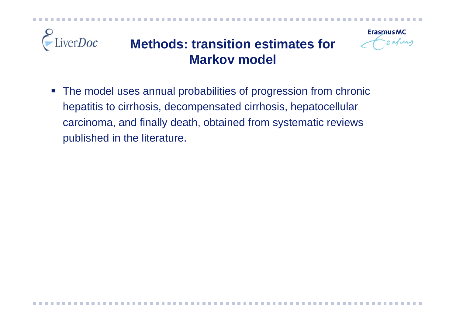

 $\overline{\mathbb{R}}$  The model uses annual probabilities of progression from chronic hepatitis to cirrhosis, decompensated cirrhosis, hepatocellular carcinoma, and finally death, obtained from systematic reviews published in the literature.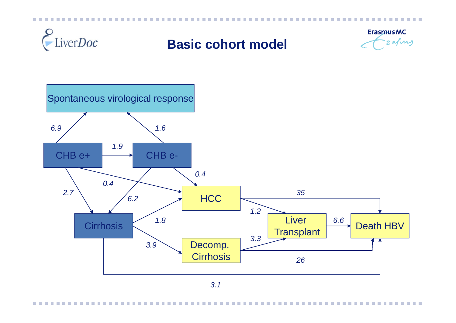

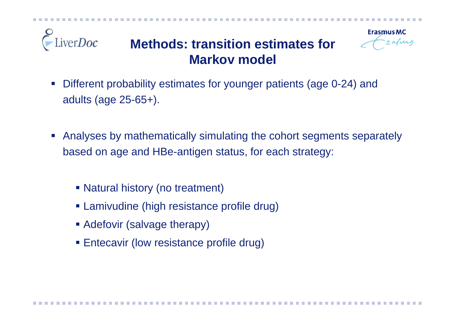

#### verDoc **Methods: transition estimates for Markov model**

- $\mathcal{L}_{\mathcal{A}}$  Different probability estimates for younger patients (age 0-24) and adults (age 25-65+).
- Analyses by mathematically simulating the cohort segments separately based on age and HBe-antigen status, for each strategy:
	- Natural history (no treatment)
	- Lamivudine (high resistance profile drug)
	- **Adefovir (salvage therapy)**
	- **Entecavir (low resistance profile drug)**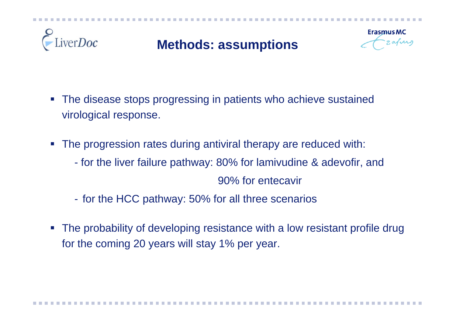

# **Methods: assumptions**



- The disease stops progressing in patients who achieve sustained virological response.
- $\mathcal{L}(\mathcal{L})$  The progression rates during antiviral therapy are reduced with:
	- for the liver failure pathway: 80% for lamivudine & adevofir, and

90% for entecavir

- $\mathcal{L}_{\mathcal{A}}$ - for the HCC pathway: 50% for all three scenarios
- $\mathcal{L}_{\mathcal{A}}$  The probability of developing resistance with a low resistant profile drug for the coming 20 years will stay 1% per year.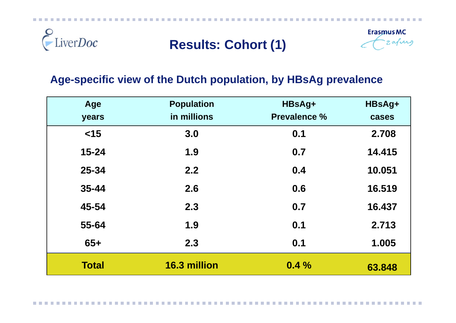

## **Results: Cohort (1)**



#### **Age-specific view of the Dutch population, by HBsAg prevalence**

| Age          | <b>Population</b> | HBsAg+              | HBsAg+ |
|--------------|-------------------|---------------------|--------|
| years        | in millions       | <b>Prevalence %</b> | cases  |
| $<$ 15       | 3.0               | 0.1                 | 2.708  |
| $15 - 24$    | 1.9               | 0.7                 | 14.415 |
| 25-34        | 2.2               | 0.4                 | 10.051 |
| 35-44        | 2.6               | 0.6                 | 16.519 |
| 45-54        | 2.3               | 0.7                 | 16.437 |
| 55-64        | 1.9               | 0.1                 | 2.713  |
| $65+$        | 2.3               | 0.1                 | 1.005  |
| <b>Total</b> | 16.3 million      | 0.4%                | 63.848 |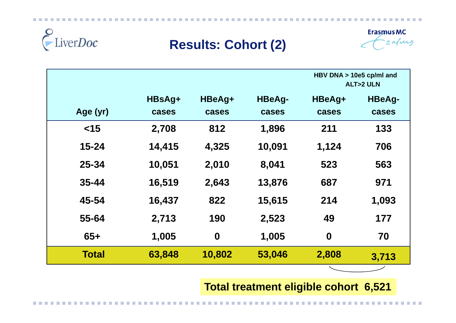

### **Results: Cohort (2)**



|              |                 |                  |                        | HBV DNA > 10e5 cp/ml and<br><b>ALT&gt;2 ULN</b> |                        |
|--------------|-----------------|------------------|------------------------|-------------------------------------------------|------------------------|
| Age (yr)     | HBsAg+<br>cases | HBeAg+<br>cases  | <b>HBeAg-</b><br>cases | HBeAg+<br>cases                                 | <b>HBeAg-</b><br>cases |
| $<$ 15       | 2,708           | 812              | 1,896                  | 211                                             | 133                    |
| $15 - 24$    | 14,415          | 4,325            | 10,091                 | 1,124                                           | 706                    |
| $25 - 34$    | 10,051          | 2,010            | 8,041                  | 523                                             | 563                    |
| $35 - 44$    | 16,519          | 2,643            | 13,876                 | 687                                             | 971                    |
| 45-54        | 16,437          | 822              | 15,615                 | 214                                             | 1,093                  |
| 55-64        | 2,713           | 190              | 2,523                  | 49                                              | 177                    |
| $65+$        | 1,005           | $\boldsymbol{0}$ | 1,005                  | $\boldsymbol{0}$                                | 70                     |
| <b>Total</b> | 63,848          | 10,802           | 53,046                 | 2,808                                           | 3,713                  |
|              |                 |                  |                        |                                                 |                        |

**Total treatment eligible cohort 6,521**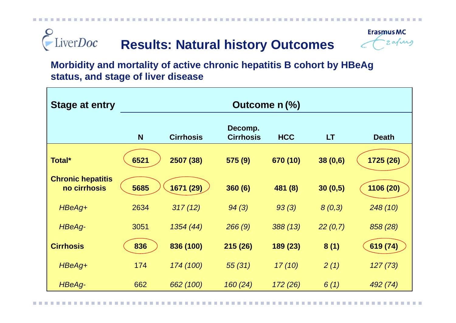#### LiverDoc **Results: Natural history Outcomes**



**Morbidity and mortality of active chronic hepatitis B cohort by HBeAg status, and stage of liver disease**

| <b>Stage at entry</b>                    | Outcome n (%) |                  |                             |            |         |              |
|------------------------------------------|---------------|------------------|-----------------------------|------------|---------|--------------|
|                                          | N             | <b>Cirrhosis</b> | Decomp.<br><b>Cirrhosis</b> | <b>HCC</b> | LT      | <b>Death</b> |
| Total*                                   | 6521          | 2507 (38)        | 575 (9)                     | 670 (10)   | 38(0,6) | 1725 (26)    |
| <b>Chronic hepatitis</b><br>no cirrhosis | 5685          | 1671 (29)        | 360(6)                      | 481 (8)    | 30(0,5) | 1106 (20)    |
| HBeAg+                                   | 2634          | 317(12)          | 94(3)                       | 93(3)      | 8(0,3)  | 248(10)      |
| HBeAg-                                   | 3051          | 1354 (44)        | 266(9)                      | 388(13)    | 22(0,7) | 858 (28)     |
| <b>Cirrhosis</b>                         | 836           | 836 (100)        | 215(26)                     | 189 (23)   | 8(1)    | 619 (74)     |
| HBeAg+                                   | 174           | 174 (100)        | 55(31)                      | 17(10)     | 2(1)    | 127(73)      |
| HBeAg-                                   | 662           | 662 (100)        | 160(24)                     | 172 (26)   | 6(1)    | 492 (74)     |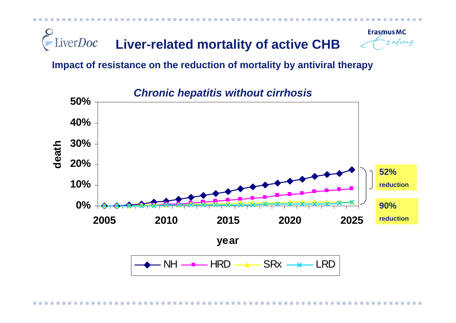

**Impact of resistance on the reduction of mortality by antiviral therapy**



*Chronic hepatitis without cirrhosis*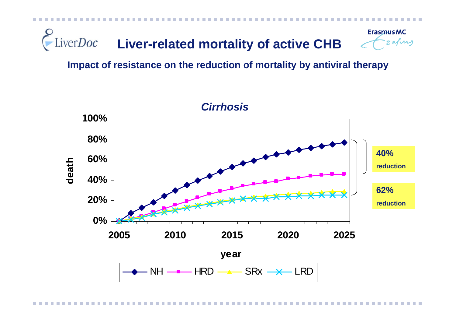

**Impact of resistance on the reduction of mortality by antiviral therapy**

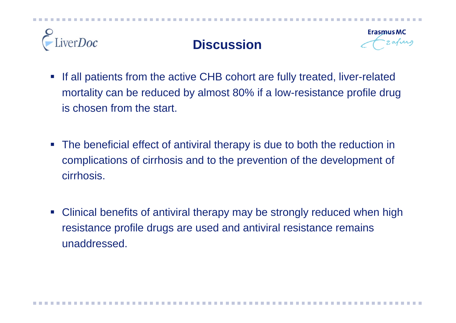

## **Discussion**



- $\mathcal{L}_{\mathcal{A}}$  If all patients from the active CHB cohort are fully treated, liver-related mortality can be reduced by almost 80% if a low-resistance profile drug is chosen from the start.
- $\mathcal{L}_{\mathcal{A}}$  The beneficial effect of antiviral therapy is due to both the reduction in complications of cirrhosis and to the prevention of the development of cirrhosis.
- $\mathcal{L}_{\mathcal{A}}$  Clinical benefits of antiviral therapy may be strongly reduced when high resistance profile drugs are used and antiviral resistance remains unaddressed.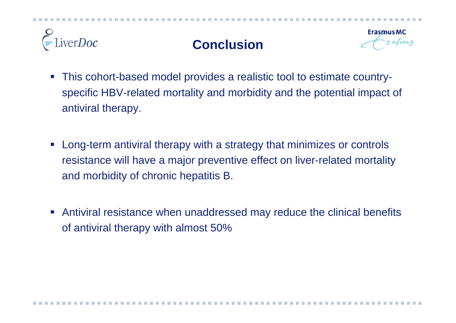

## **Conclusion**



- $\mathcal{L}_{\mathcal{A}}$  This cohort-based model provides a realistic tool to estimate countryspecific HBV-related mortality and morbidity and the potential impact of antiviral therapy.
- $\mathcal{L}_{\mathcal{A}}$  Long-term antiviral therapy with a strategy that minimizes or controls resistance will have a major preventive effect on liver-related mortality and morbidity of chronic hepatitis B.
- $\mathcal{L}_{\mathcal{A}}$  Antiviral resistance when unaddressed may reduce the clinical benefits of antiviral therapy with almost 50%